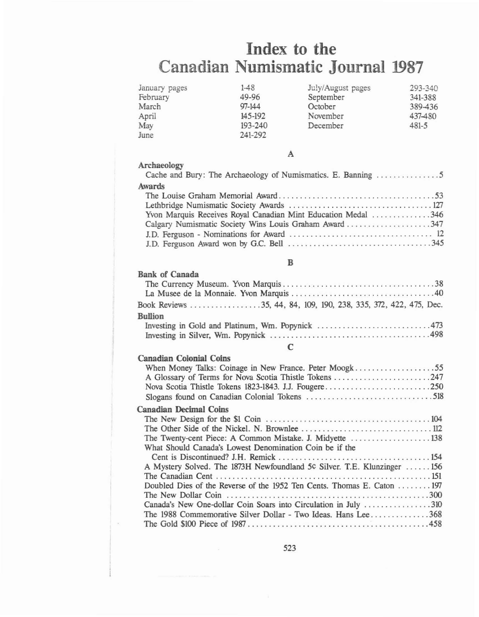# **Index to the Canadian Numismatic** Journal 1987

| January pages | $1 - 48$   | July/August pages | 293-340   |
|---------------|------------|-------------------|-----------|
| February      | 49-96      | September         | 341-388   |
| March         | $97 - 144$ | October           | 389-436   |
| April         | 145-192    | November          | 437-480   |
| May           | 193-240    | December          | $481 - 5$ |
| June          | 241-292    |                   |           |

### A

| Archaeology |  |                                                           |  |  |
|-------------|--|-----------------------------------------------------------|--|--|
|             |  | Cache and Bury: The Archaeology of Numismatics E. Banning |  |  |

Bank of Canada

| CHEIP HIM DOLT: ANY INVINCOION, OF FIGHTBROOKS, D. DRIMING    |
|---------------------------------------------------------------|
| <b>Awards</b>                                                 |
|                                                               |
|                                                               |
| Yvon Marquis Receives Royal Canadian Mint Education Medal 346 |
| Calgary Numismatic Society Wins Louis Graham Award 347        |
|                                                               |
|                                                               |

#### B

| <b>DAIIR VI CARALLA</b> |
|-------------------------|
|                         |
|                         |
|                         |
| <b>Bullion</b>          |
|                         |
|                         |

#### C

#### Canadian Colonial Coins When Money Talks: Coinage in New France. Peter Moogk 55 A Glossary of Tenns for Nova Scotia Thistle Tokens 247 Nova Scotia Thistle Tokens 1823-1843. 1.1. Fougere 250 Slogans found on Canadian Colonial Tokens 518 Canadian Decimal Coins The New Design for the \$1 Coin 104 The Other Side of the Nickel. N. Brownlee 112 The Twenty-cent Piece: A Common Mistake. J. Midvette ..........................138 What Should Canada's Lowest Denomination Coin be if the Cent is Discontinued? 1.H. Remick 154 A Mystery Solved. The 1873H Newfoundland 5¢ Silver. T.E. Klunzinger ...... 156 The Canadian Cent 151 Doubled Dies of the Reverse of the 1952 Ten Cents. Thomas E. Caton  $\dots \dots 197$ The New Dollar Coin 300 Canada's New One-dollar Coin Soars into Circulation in July ..................310 The 1988 Commemorative Silver Dollar - Two Ideas. Hans Lee . . . . . . . . . . . . . . 368 The Gold \$100 Piece of 1987 458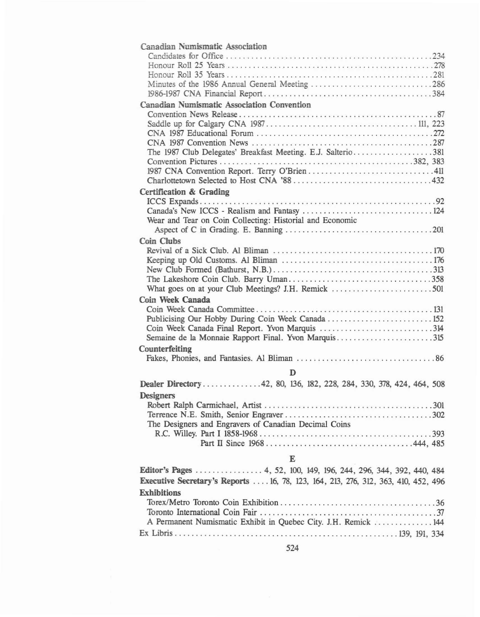| Canadian Numismatic Association                                                    |  |
|------------------------------------------------------------------------------------|--|
|                                                                                    |  |
|                                                                                    |  |
|                                                                                    |  |
| Minutes of the 1986 Annual General Meeting 286                                     |  |
|                                                                                    |  |
| Canadian Numismatic Association Convention                                         |  |
|                                                                                    |  |
|                                                                                    |  |
|                                                                                    |  |
|                                                                                    |  |
| The 1987 Club Delegates' Breakfast Meeting. E.J. Salterio381                       |  |
|                                                                                    |  |
|                                                                                    |  |
|                                                                                    |  |
| Certification & Grading                                                            |  |
|                                                                                    |  |
|                                                                                    |  |
| Wear and Tear on Coin Collecting: Historial and Economic                           |  |
|                                                                                    |  |
| <b>Coin Clubs</b>                                                                  |  |
|                                                                                    |  |
|                                                                                    |  |
|                                                                                    |  |
|                                                                                    |  |
|                                                                                    |  |
| Coin Week Canada                                                                   |  |
|                                                                                    |  |
| Publicising Our Hobby During Coin Week Canada  152                                 |  |
| Coin Week Canada Final Report. Yvon Marquis 314                                    |  |
| Semaine de la Monnaie Rapport Final. Yvon Marquis315                               |  |
| Counterfeiting                                                                     |  |
|                                                                                    |  |
| D                                                                                  |  |
| Dealer Directory42, 80, 136, 182, 228, 284, 330, 378, 424, 464, 508                |  |
| <b>Designers</b>                                                                   |  |
|                                                                                    |  |
|                                                                                    |  |
| The Designers and Engravers of Canadian Decimal Coins                              |  |
|                                                                                    |  |
|                                                                                    |  |
|                                                                                    |  |
| E                                                                                  |  |
| Editor's Pages  4, 52, 100, 149, 196, 244, 296, 344, 392, 440, 484                 |  |
| Executive Secretary's Reports  16, 78, 123, 164, 213, 276, 312, 363, 410, 452, 496 |  |
| <b>Exhibitions</b>                                                                 |  |
|                                                                                    |  |
|                                                                                    |  |
| A Permanent Numismatic Exhibit in Quebec City. J.H. Remick  144                    |  |
|                                                                                    |  |
|                                                                                    |  |

524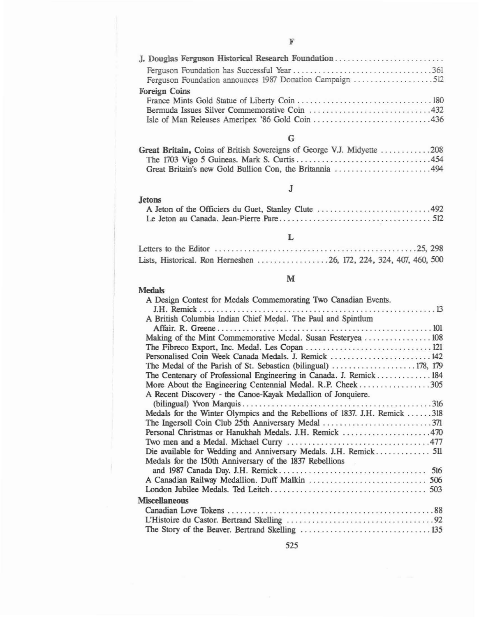| J. Douglas Ferguson Historical Research Foundation       |  |
|----------------------------------------------------------|--|
|                                                          |  |
| Ferguson Foundation announces 1987 Donation Campaign 512 |  |
| <b>Foreign Coins</b>                                     |  |
|                                                          |  |
| Bermuda Issues Silver Commemorative Coin 432             |  |
|                                                          |  |

# G

| Great Britain, Coins of British Sovereigns of George V.J. Midyette 208 |  |
|------------------------------------------------------------------------|--|
|                                                                        |  |
|                                                                        |  |

# J

#### **Jetons** A Jeton of the Officiers du Guet, Stanley Clute ................................492 Le Jeton au Canada. Jean-Pierre Pare 512

### L

| Lists, Historical. Ron Herneshen 26, 172, 224, 324, 407, 460, 500 |  |  |
|-------------------------------------------------------------------|--|--|

#### M

# **Medals**

| A Design Contest for Medals Commemorating Two Canadian Events. |                                                                                                                                                                                                                                                                                                                                                                                                                                                                 |
|----------------------------------------------------------------|-----------------------------------------------------------------------------------------------------------------------------------------------------------------------------------------------------------------------------------------------------------------------------------------------------------------------------------------------------------------------------------------------------------------------------------------------------------------|
|                                                                |                                                                                                                                                                                                                                                                                                                                                                                                                                                                 |
|                                                                |                                                                                                                                                                                                                                                                                                                                                                                                                                                                 |
|                                                                |                                                                                                                                                                                                                                                                                                                                                                                                                                                                 |
|                                                                |                                                                                                                                                                                                                                                                                                                                                                                                                                                                 |
|                                                                |                                                                                                                                                                                                                                                                                                                                                                                                                                                                 |
|                                                                |                                                                                                                                                                                                                                                                                                                                                                                                                                                                 |
|                                                                |                                                                                                                                                                                                                                                                                                                                                                                                                                                                 |
|                                                                |                                                                                                                                                                                                                                                                                                                                                                                                                                                                 |
|                                                                |                                                                                                                                                                                                                                                                                                                                                                                                                                                                 |
| A Recent Discovery - the Canoe-Kayak Medallion of Jonquiere.   |                                                                                                                                                                                                                                                                                                                                                                                                                                                                 |
|                                                                |                                                                                                                                                                                                                                                                                                                                                                                                                                                                 |
|                                                                |                                                                                                                                                                                                                                                                                                                                                                                                                                                                 |
|                                                                |                                                                                                                                                                                                                                                                                                                                                                                                                                                                 |
|                                                                |                                                                                                                                                                                                                                                                                                                                                                                                                                                                 |
|                                                                |                                                                                                                                                                                                                                                                                                                                                                                                                                                                 |
|                                                                |                                                                                                                                                                                                                                                                                                                                                                                                                                                                 |
| Medals for the 150th Anniversary of the 1837 Rebellions        |                                                                                                                                                                                                                                                                                                                                                                                                                                                                 |
|                                                                |                                                                                                                                                                                                                                                                                                                                                                                                                                                                 |
|                                                                |                                                                                                                                                                                                                                                                                                                                                                                                                                                                 |
|                                                                |                                                                                                                                                                                                                                                                                                                                                                                                                                                                 |
| <b>Miscellaneous</b>                                           |                                                                                                                                                                                                                                                                                                                                                                                                                                                                 |
|                                                                |                                                                                                                                                                                                                                                                                                                                                                                                                                                                 |
|                                                                |                                                                                                                                                                                                                                                                                                                                                                                                                                                                 |
|                                                                |                                                                                                                                                                                                                                                                                                                                                                                                                                                                 |
|                                                                | A British Columbia Indian Chief Medal. The Paul and Spintlum<br>Making of the Mint Commemorative Medal. Susan Festeryea  108<br>Personalised Coin Week Canada Medals. J. Remick  142<br>The Centenary of Professional Engineering in Canada. J. Remick184<br>More About the Engineering Centennial Medal. R.P. Cheek305<br>Medals for the Winter Olympics and the Rebellions of 1837. J.H. Remick 318<br>Personal Christmas or Hanukhah Medals. J.H. Remick 470 |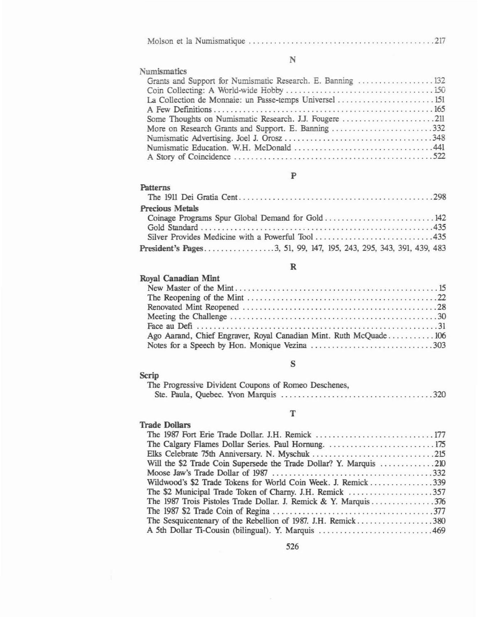|--|--|--|

N

| <b>Numismatics</b>                                          |
|-------------------------------------------------------------|
| Grants and Support for Numismatic Research. E. Banning  132 |
|                                                             |
| La Collection de Monnaie: un Passe-temps Universel  151     |
|                                                             |
| Some Thoughts on Numismatic Research. J.J. Fougere 211      |
| More on Research Grants and Support. E. Banning 332         |
|                                                             |
|                                                             |
|                                                             |

# p

| <b>Patterns</b>                                                    |
|--------------------------------------------------------------------|
| <b>Precious Metals</b>                                             |
|                                                                    |
|                                                                    |
|                                                                    |
| President's Pages3, 51, 99, 147, 195, 243, 295, 343, 391, 439, 483 |

### R

| <b>Royal Canadian Mint</b>                                       |
|------------------------------------------------------------------|
|                                                                  |
|                                                                  |
|                                                                  |
|                                                                  |
|                                                                  |
| Ago Aarand, Chief Engraver, Royal Canadian Mint. Ruth McQuade106 |
| Notes for a Speech by Hon. Monique Vezina 303                    |

# s

| <b>Scrip</b>                                         |  |
|------------------------------------------------------|--|
| The Progressive Divident Coupons of Romeo Deschenes, |  |
|                                                      |  |

## T

| <b>Trade Dollars</b>                                               |
|--------------------------------------------------------------------|
|                                                                    |
|                                                                    |
| Elks Celebrate 75th Anniversary. N. Myschuk 215                    |
| Will the \$2 Trade Coin Supersede the Trade Dollar? Y. Marquis 210 |
|                                                                    |
| Wildwood's \$2 Trade Tokens for World Coin Week. J. Remick339      |
|                                                                    |
| The 1987 Trois Pistoles Trade Dollar. J. Remick & Y. Marquis 376   |
|                                                                    |
|                                                                    |
| A 5th Dollar Ti-Cousin (bilingual). Y. Marquis 469                 |